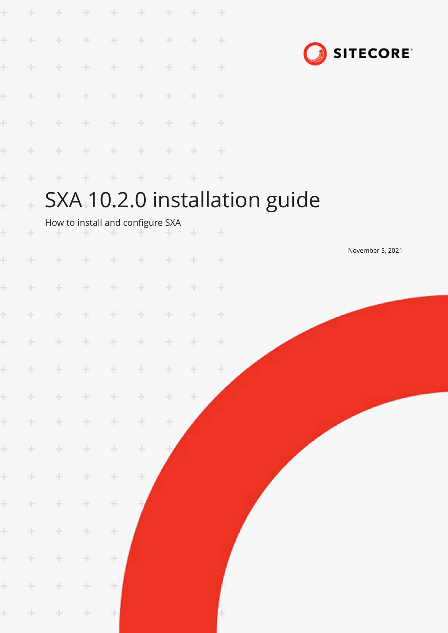| ÷     | ÷                                                     | ÷                                     | ÷      | ÷      | ÷         | ÷      |   | ÷       |                  |  |  |  |
|-------|-------------------------------------------------------|---------------------------------------|--------|--------|-----------|--------|---|---------|------------------|--|--|--|
| ÷     | ÷                                                     | ÷                                     | ÷      | ÷      | ÷         | ÷      | ÷ | ÷       | <b>SITECORE</b>  |  |  |  |
| ÷     | ÷.                                                    | ÷                                     | ÷      | ÷      | ÷         | ÷      | ÷ | ÷       |                  |  |  |  |
| ł     | $\pm$                                                 | ÷                                     | ÷      | ÷      | ÷         | $\div$ | ÷ | ÷       |                  |  |  |  |
| Ł     | ÷                                                     | $\pm$                                 | ÷      | ÷      | ÷         | ÷      | ÷ | $\div$  |                  |  |  |  |
| ÷     | ÷                                                     | ÷                                     | ÷      | ÷      | ÷         | ÷      | ÷ | $+$     |                  |  |  |  |
| ÷     | ÷                                                     |                                       | ÷      | ÷      | ÷         | ÷      | ÷ | ÷       |                  |  |  |  |
| Ł     | SXA 10.2.0 installation guide<br>$\ddot{\phantom{1}}$ |                                       |        |        |           |        |   |         |                  |  |  |  |
| ÷.    | ÷                                                     | How to install and configure SXA<br>÷ |        |        |           |        | ÷ | $\!+\!$ |                  |  |  |  |
| ÷     | ÷                                                     | ÷                                     |        |        |           | ÷      | ÷ | ÷       | November 5, 2021 |  |  |  |
| ÷     | ÷                                                     | ÷                                     | ÷      | ÷      | ÷         | ÷      | ÷ | ÷       |                  |  |  |  |
| ÷     | ÷                                                     | ÷                                     | ÷      | ÷      | ÷         | ÷      | ÷ | ÷       |                  |  |  |  |
|       | $+$ $+$                                               | $+ + + +$                             |        |        | $+ + + +$ |        |   | $+$     |                  |  |  |  |
| $\pm$ | $\pm$                                                 | $\pm$                                 | $\pm$  | $\pm$  | $\pm$     | $\div$ | ÷ | $\div$  |                  |  |  |  |
| Ŧ.    | $\pm$                                                 | ÷.                                    | $\pm$  | $\div$ | $\pm$     | ÷.     | ÷ |         |                  |  |  |  |
| ÷.    | $+ \,$                                                | ÷                                     | ÷      | ÷      | ÷         | $\pm$  |   |         |                  |  |  |  |
| ÷.    | $\pm$                                                 | $\div$                                | $\pm$  | $\div$ | $\div$    |        |   |         |                  |  |  |  |
| ÷.    | $\pm$                                                 | $\div$                                | ÷      | ÷      | ÷         |        |   |         |                  |  |  |  |
| ÷.    | $\pm$                                                 | $\div$                                | $\div$ | $\div$ |           |        |   |         |                  |  |  |  |
| ÷.    | $\pm$                                                 | $\div$                                | $\pm$  | $\div$ |           |        |   |         |                  |  |  |  |
| ÷.    | $\pm$                                                 | $\pm$                                 | ÷.     | ÷      |           |        |   |         |                  |  |  |  |
|       |                                                       |                                       |        |        |           |        |   |         |                  |  |  |  |
| ÷.    | ÷                                                     | ÷                                     | ÷.     | $\div$ |           |        |   |         |                  |  |  |  |
| $\pm$ | $\pm$                                                 | $\div$                                | $\pm$  | ÷      |           |        |   |         |                  |  |  |  |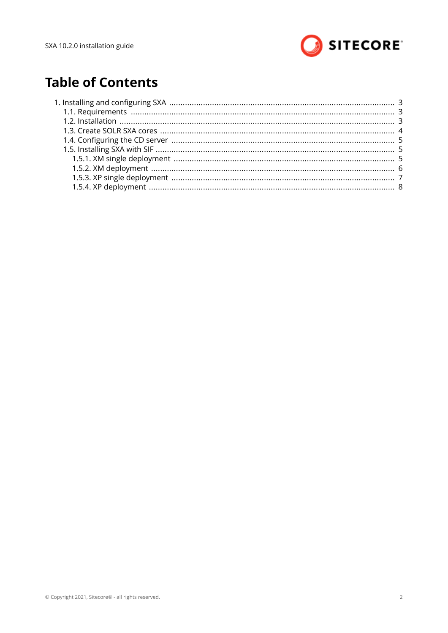

# **Table of Contents**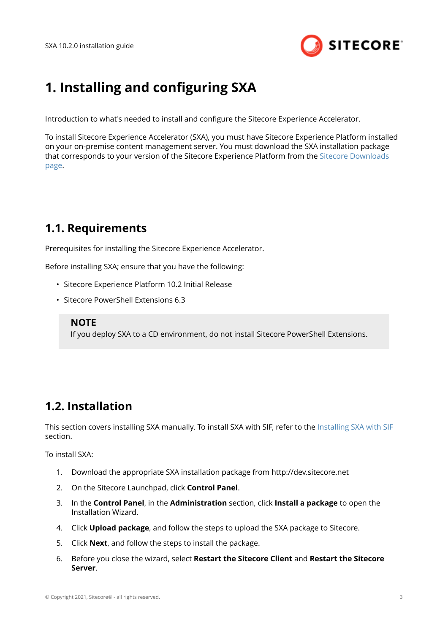

## <span id="page-2-0"></span>**1. Installing and configuring SXA**

Introduction to what's needed to install and configure the Sitecore Experience Accelerator.

To install Sitecore Experience Accelerator (SXA), you must have Sitecore Experience Platform installed on your on-premise content management server. You must download the SXA installation package that corresponds to your version of the Sitecore Experience Platform from the [Sitecore Downloads](http://dev.sitecore.net) [page.](http://dev.sitecore.net)

### **1.1. Requirements**

Prerequisites for installing the Sitecore Experience Accelerator.

Before installing SXA; ensure that you have the following:

- Sitecore Experience Platform 10.2 Initial Release
- Sitecore PowerShell Extensions 6.3

### **NOTE**

If you deploy SXA to a CD environment, do not install Sitecore PowerShell Extensions.

### **1.2. Installation**

This section covers installing SXA manually. To install SXA with SIF, refer to the [Installing SXA with SIF](#page-4-0) section.

To install SXA:

- 1. Download the appropriate SXA installation package from http://dev.sitecore.net
- 2. On the Sitecore Launchpad, click **Control Panel**.
- 3. In the **Control Panel**, in the **Administration** section, click **Install a package** to open the Installation Wizard.
- 4. Click **Upload package**, and follow the steps to upload the SXA package to Sitecore.
- 5. Click **Next**, and follow the steps to install the package.
- 6. Before you close the wizard, select **Restart the Sitecore Client** and **Restart the Sitecore Server**.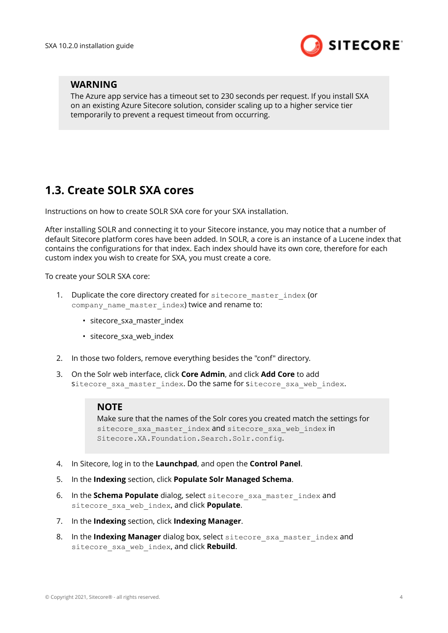

### <span id="page-3-0"></span>**WARNING**

The Azure app service has a timeout set to 230 seconds per request. If you install SXA on an existing Azure Sitecore solution, consider scaling up to a higher service tier temporarily to prevent a request timeout from occurring.

### **1.3. Create SOLR SXA cores**

Instructions on how to create SOLR SXA core for your SXA installation.

After installing SOLR and connecting it to your Sitecore instance, you may notice that a number of default Sitecore platform cores have been added. In SOLR, a core is an instance of a Lucene index that contains the configurations for that index. Each index should have its own core, therefore for each custom index you wish to create for SXA, you must create a core.

To create your SOLR SXA core:

- 1. Duplicate the core directory created for sitecore master index (or company name master index) twice and rename to:
	- sitecore\_sxa\_master\_index
	- sitecore\_sxa\_web\_index
- 2. In those two folders, remove everything besides the "conf" directory.
- 3. On the Solr web interface, click **Core Admin**, and click **Add Core** to add Sitecore sxa master index. Do the same for sitecore sxa\_web\_index.

#### **NOTE**

Make sure that the names of the Solr cores you created match the settings for sitecore sxa master index and sitecore sxa web index in Sitecore.XA.Foundation.Search.Solr.config.

- 4. In Sitecore, log in to the **Launchpad**, and open the **Control Panel**.
- 5. In the **Indexing** section, click **Populate Solr Managed Schema**.
- 6. In the **Schema Populate** dialog, select sitecore\_sxa\_master\_index and sitecore\_sxa\_web\_index, and click **Populate**.
- 7. In the **Indexing** section, click **Indexing Manager**.
- 8. In the **Indexing Manager** dialog box, select sitecore sxa master index and sitecore\_sxa\_web\_index, and click **Rebuild**.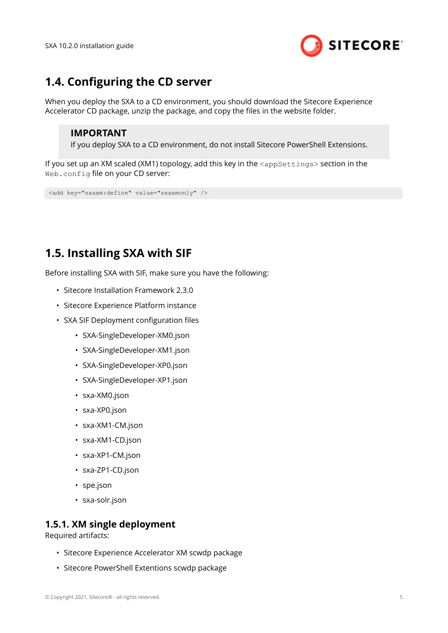

### <span id="page-4-0"></span>**1.4. Configuring the CD server**

When you deploy the SXA to a CD environment, you should download the Sitecore Experience Accelerator CD package, unzip the package, and copy the files in the website folder.

#### **IMPORTANT**

If you deploy SXA to a CD environment, do not install Sitecore PowerShell Extensions.

If you set up an XM scaled (XM1) topology, add this key in the  $\langle$ appSettings> section in the Web.config file on your CD server:

<add key="sxaxm:define" value="sxaxmonly" />

## **1.5. Installing SXA with SIF**

Before installing SXA with SIF, make sure you have the following:

- Sitecore Installation Framework 2.3.0
- Sitecore Experience Platform instance
- SXA SIF Deployment configuration files
	- SXA-SingleDeveloper-XM0.json
	- SXA-SingleDeveloper-XM1.json
	- SXA-SingleDeveloper-XP0.json
	- SXA-SingleDeveloper-XP1.json
	- sxa-XM0.json
	- sxa-XP0.json
	- sxa-XM1-CM.json
	- sxa-XM1-CD.json
	- sxa-XP1-CM.json
	- sxa-ZP1-CD.json
	- spe.json
	- sxa-solr.json

### **1.5.1. XM single deployment**

Required artifacts:

- Sitecore Experience Accelerator XM scwdp package
- Sitecore PowerShell Extentions scwdp package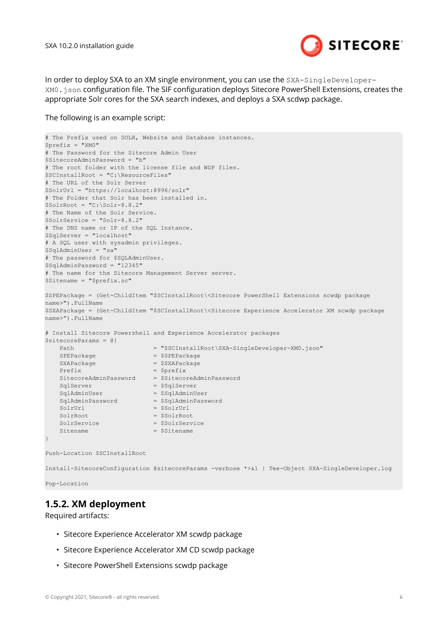

<span id="page-5-0"></span>In order to deploy SXA to an XM single environment, you can use the SXA-SingleDeveloper-XM0.json Configuration file. The SIF configuration deploys Sitecore PowerShell Extensions, creates the appropriate Solr cores for the SXA search indexes, and deploys a SXA scdwp package.

#### The following is an example script:

```
# The Prefix used on SOLR, Website and Database instances. 
$prefix = "XM0" 
# The Password for the Sitecore Admin User 
$SitecoreAdminPassword = "b" 
# The root folder with the license file and WDP files. 
$SCInstallRoot = "C:\ResourceFiles" 
# The URL of the Solr Server 
$SolrUrl = "https://localhost:8996/solr" 
# The Folder that Solr has been installed in. 
$SolrRoot = "C:\Solt-8.8.2"# The Name of the Solr Service. 
$SolrService = "Solr-8.8.2" 
# The DNS name or IP of the SQL Instance. 
$SqlServer = "localhost" 
# A SQL user with sysadmin privileges. 
$SqlAdminUser = "sa" 
# The password for $SQLAdminUser. 
$SqlAdminPassword = "12345" 
# The name for the Sitecore Management Server server. 
$Sitename = "$prefix.sc" 
$SPEPackage = (Get-ChildItem "$SCInstallRoot\<Sitecore PowerShell Extensions scwdp package 
name>").FullName 
$SXAPackage = (Get-ChildItem "$SCInstallRoot\<Sitecore Experience Accelerator XM scwdp package 
name>").FullName 
# Install Sitecore Powershell and Experience Accelerator packages 
$sitecoreParams = @{ 
   Path = "$SCInstallRoot\SXA-SingleDeveloper-XM0.json"
   SPEPackage = $SPEPackage
   SXAPackage = $SXAPackage
   Prefix = 5 \text{prefix} SitecoreAdminPassword = $SitecoreAdminPassword 
 SqlServer = $SqlServer 
 SqlAdminUser = $SqlAdminUser 
 SqlAdminPassword = $SqlAdminPassword 
   SqlAdminPassword = $SqlAdminPassword<br>SolrUrl = $SolrUrl = $SolrUrl
   SolrRoot = $SolrRoot
   SolrService = $SolrService
   Sitename = $Sitename
} 
Push-Location $SCInstallRoot
```

```
Install-SitecoreConfiguration @sitecoreParams -verbose *>&1 | Tee-Object SXA-SingleDeveloper.log
```

```
Pop-Location
```
### **1.5.2. XM deployment**

Required artifacts:

- Sitecore Experience Accelerator XM scwdp package
- Sitecore Experience Accelerator XM CD scwdp package
- Sitecore PowerShell Extensions scwdp package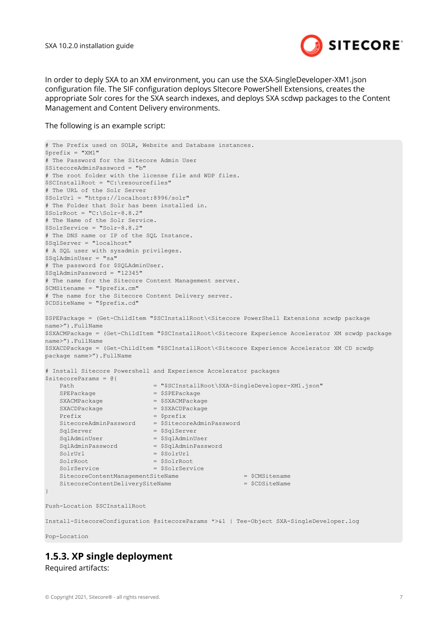

<span id="page-6-0"></span>In order to deply SXA to an XM environment, you can use the SXA-SingleDeveloper-XM1.json configuration file. The SIF configuration deploys SItecore PowerShell Extensions, creates the appropriate Solr cores for the SXA search indexes, and deploys SXA scdwp packages to the Content Management and Content Delivery environments.

The following is an example script:

```
# The Prefix used on SOLR, Website and Database instances. 
$prefix = "XM1" 
# The Password for the Sitecore Admin User 
$SitecoreAdminPassword = "b" 
# The root folder with the license file and WDP files. 
$SCInstallRoot = "C:\resourcefiles" 
# The URL of the Solr Server 
$SolrUrl = "https://localhost:8996/solr" 
# The Folder that Solr has been installed in. 
$SolrRoot = "C:\Solr-8.8.2" 
# The Name of the Solr Service. 
$SolrService = "Solr-8.8.2" 
# The DNS name or IP of the SQL Instance. 
$SqlServer = "localhost" 
# A SQL user with sysadmin privileges. 
$SqlAdminUser = "sa" 
# The password for $SQLAdminUser. 
$SqlAdminPassword = "12345" 
# The name for the Sitecore Content Management server. 
$CMSitename = "$prefix.cm" 
# The name for the Sitecore Content Delivery server. 
$CDSiteName = "$prefix.cd" 
$SPEPackage = (Get-ChildItem "$SCInstallRoot\<Sitecore PowerShell Extensions scwdp package 
name>").FullName 
$SXACMPackage = (Get-ChildItem "$SCInstallRoot\<Sitecore Experience Accelerator XM scwdp package 
name>").FullName 
$SXACDPackage = (Get-ChildItem "$SCInstallRoot\<Sitecore Experience Accelerator XM CD scwdp 
package name>").FullName 
# Install Sitecore Powershell and Experience Accelerator packages 
$sitecoreParams = @{ 
   Path = "$SCInstallRoot\SXA-SingleDeveloper-XM1.json"
   SPEPackage = $SPEPackage
   SXACMPackage = $SXACMPackage
   SXACDPackage = $SXACDPackage
   Prefix = 5prefixSitecoreAdminPassword = $SitecoreAdminPassword
SqlServer = $SqlServer
 SqlAdminUser = $SqlAdminUser 
   sqlAdminPassword = $SqlAdminPassword
   SolrUrl = $SolrUrl = $SolrUrl
   SolrRoot = SSolrRootSolrService = $SolrService
   SitecoreContentManagementSiteName = $CMSitename = $CMSitename
    SitecoreContentDeliverySiteName = $CDSiteName 
} 
Push-Location $SCInstallRoot 
Install-SitecoreConfiguration @sitecoreParams *>&1 | Tee-Object SXA-SingleDeveloper.log
```
Pop-Location

### **1.5.3. XP single deployment**

Required artifacts: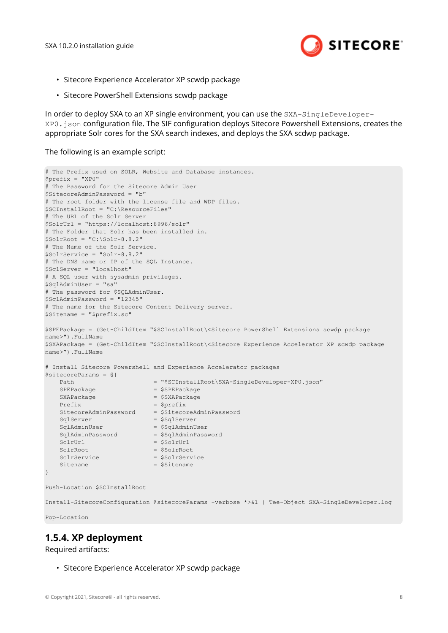

- <span id="page-7-0"></span>• Sitecore Experience Accelerator XP scwdp package
- Sitecore PowerShell Extensions scwdp package

In order to deploy SXA to an XP single environment, you can use the SXA-SingleDeveloper-XP0.json configuration file. The SIF configuration deploys Sitecore Powershell Extensions, creates the appropriate Solr cores for the SXA search indexes, and deploys the SXA scdwp package.

The following is an example script:

```
# The Prefix used on SOLR, Website and Database instances. 
$prefix = "XP0" 
# The Password for the Sitecore Admin User 
$SitecoreAdminPassword = "b" 
# The root folder with the license file and WDP files. 
$SCInstallRoot = "C:\ResourceFiles" 
# The URL of the Solr Server 
$SolrUrl = "https://localhost:8996/solr" 
# The Folder that Solr has been installed in. 
$SolrRoot = "C:\Solar-8.8.2"# The Name of the Solr Service. 
$SolrService = "Solr-8.8.2" 
# The DNS name or IP of the SQL Instance. 
$SqlServer = "localhost" 
# A SQL user with sysadmin privileges. 
$SqlAdminUser = "sa" 
# The password for $SQLAdminUser. 
$SqlAdminPassword = "12345" 
# The name for the Sitecore Content Delivery server. 
$Sitename = "$prefix.sc" 
$SPEPackage = (Get-ChildItem "$SCInstallRoot\<Sitecore PowerShell Extensions scwdp package 
name>").FullName 
$SXAPackage = (Get-ChildItem "$SCInstallRoot\<Sitecore Experience Accelerator XP scwdp package 
name>").FullName 
# Install Sitecore Powershell and Experience Accelerator packages 
$sitecoreParams = @{ 
   Path = "$SCInstallRoot\SXA-SingleDeveloper-XP0.json"
   SPEPackage = $SPEPackage
   SXAPackage = $SXAPackage
   Prefix = 5 \text{prefix} SitecoreAdminPassword = $SitecoreAdminPassword 
   SqlServer = $SqlServer = $SqlServer = $SqlServer = $SqlServer = $SqlServer = $SqlServer = $SqlServer = $
 SqlAdminUser = $SqlAdminUser 
 SqlAdminPassword = $SqlAdminPassword 
SolrUrl = $SolrUrl = $SolrUrl
   SolrRoot = $SolrRoot
   SolrService = $SolrService
   Sitename = SSitename
} 
Push-Location $SCInstallRoot
```
Install-SitecoreConfiguration @sitecoreParams -verbose \*>&1 | Tee-Object SXA-SingleDeveloper.log

Pop-Location

### **1.5.4. XP deployment**

Required artifacts:

• Sitecore Experience Accelerator XP scwdp package